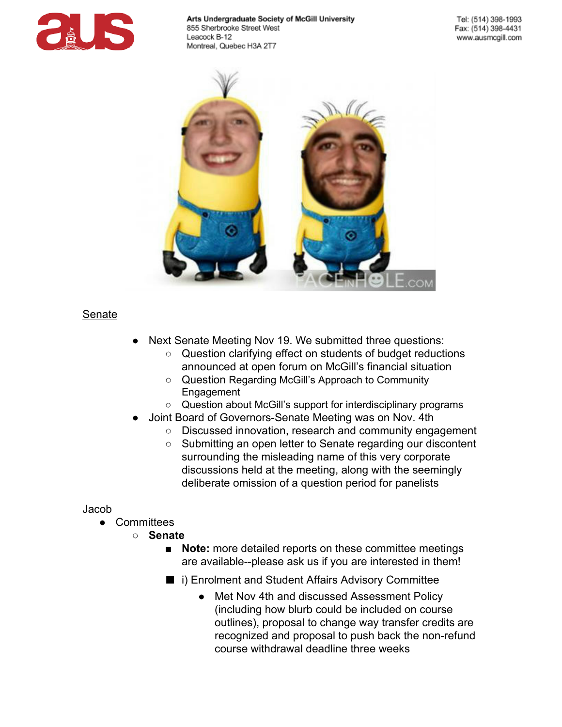



# **Senate**

- Next Senate Meeting Nov 19. We submitted three questions:
	- Question clarifying effect on students of budget reductions announced at open forum on McGill's financial situation
	- Question Regarding McGill's Approach to Community Engagement
	- Question about McGill's support for interdisciplinary programs
- Joint Board of Governors-Senate Meeting was on Nov. 4th
	- Discussed innovation, research and community engagement
	- Submitting an open letter to Senate regarding our discontent surrounding the misleading name of this very corporate discussions held at the meeting, along with the seemingly deliberate omission of a question period for panelists

## Jacob

- **Committees** 
	- **Senate**
		- **Note:** more detailed reports on these committee meetings are available--please ask us if you are interested in them!
		- i) Enrolment and Student Affairs Advisory Committee
			- Met Nov 4th and discussed Assessment Policy (including how blurb could be included on course outlines), proposal to change way transfer credits are recognized and proposal to push back the non-refund course withdrawal deadline three weeks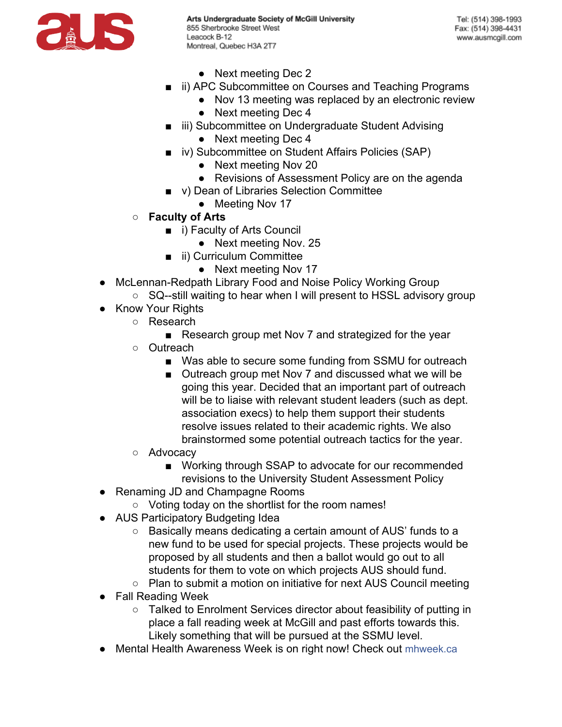

- Next meeting Dec 2
- ii) APC Subcommittee on Courses and Teaching Programs
	- Nov 13 meeting was replaced by an electronic review
	- Next meeting Dec 4
- iii) Subcommittee on Undergraduate Student Advising
	- Next meeting Dec 4
- iv) Subcommittee on Student Affairs Policies (SAP)
	- Next meeting Nov 20
	- Revisions of Assessment Policy are on the agenda
- v) Dean of Libraries Selection Committee
	- Meeting Nov 17
- **Faculty of Arts**
	- i) Faculty of Arts Council
		- Next meeting Nov. 25
	- ii) Curriculum Committee
		- Next meeting Nov 17
- McLennan-Redpath Library Food and Noise Policy Working Group
	- SQ--still waiting to hear when I will present to HSSL advisory group
- Know Your Rights
	- Research
		- Research group met Nov 7 and strategized for the year
	- Outreach
		- Was able to secure some funding from SSMU for outreach
		- Outreach group met Nov 7 and discussed what we will be going this year. Decided that an important part of outreach will be to liaise with relevant student leaders (such as dept. association execs) to help them support their students resolve issues related to their academic rights. We also brainstormed some potential outreach tactics for the year.
	- Advocacy
		- Working through SSAP to advocate for our recommended revisions to the University Student Assessment Policy
- Renaming JD and Champagne Rooms
	- Voting today on the shortlist for the room names!
- AUS Participatory Budgeting Idea
	- Basically means dedicating a certain amount of AUS' funds to a new fund to be used for special projects. These projects would be proposed by all students and then a ballot would go out to all students for them to vote on which projects AUS should fund.
	- Plan to submit a motion on initiative for next AUS Council meeting
- Fall Reading Week
	- Talked to Enrolment Services director about feasibility of putting in place a fall reading week at McGill and past efforts towards this. Likely something that will be pursued at the SSMU level.
- Mental Health Awareness Week is on right now! Check out [mhweek.ca](http://www.google.com/url?q=http%3A%2F%2Fwww.mhweek.ca%2F&sa=D&sntz=1&usg=AFQjCNEaoTbE0aRyfjnwQWZgz_FclbWr6w)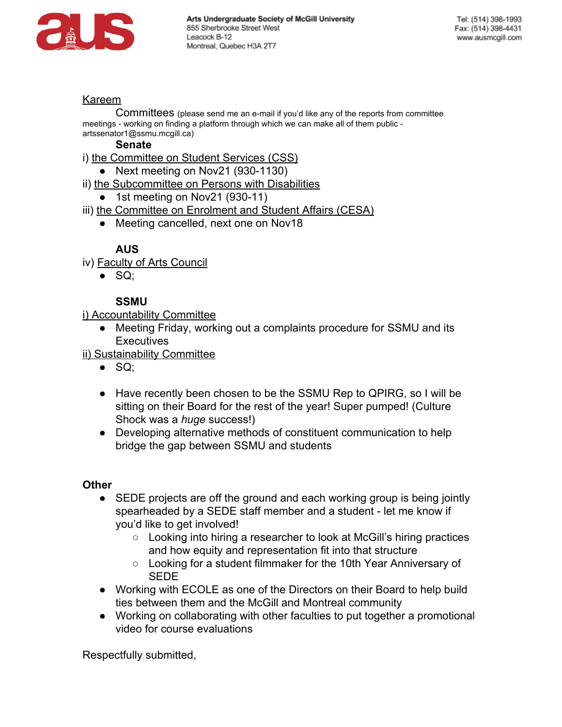

### Kareem

Committees (please send me an e-mail if you'd like any of the reports from committee meetings - working on finding a platform through which we can make all of them public artssenator1@ssmu.mcgill.ca)

#### **Senate**

- i) the Committee on Student Services (CSS)
	- Next meeting on Nov21  $(930-1130)$
- ii) the Subcommittee on Persons with Disabilities
	- $\bullet$  1st meeting on Nov21 (930-11)
- iii) the Committee on Enrolment and Student Affairs (CESA)
	- Meeting cancelled, next one on Nov18

## **AUS**

- iv) Faculty of Arts Council
	- $\bullet$  SQ;

## **SSMU**

i) Accountability Committee

• Meeting Friday, working out a complaints procedure for SSMU and its **Executives** 

ii) Sustainability Committee

- $\bullet$  SQ;
- Have recently been chosen to be the SSMU Rep to QPIRG, so I will be sitting on their Board for the rest of the year! Super pumped! (Culture Shock was a *huge* success!)
- Developing alternative methods of constituent communication to help bridge the gap between SSMU and students

### **Other**

- SEDE projects are off the ground and each working group is being jointly spearheaded by a SEDE staff member and a student - let me know if you'd like to get involved!
	- Looking into hiring a researcher to look at McGill's hiring practices and how equity and representation fit into that structure
	- Looking for a student filmmaker for the 10th Year Anniversary of SEDE
- Working with ECOLE as one of the Directors on their Board to help build ties between them and the McGill and Montreal community
- Working on collaborating with other faculties to put together a promotional video for course evaluations

Respectfully submitted,